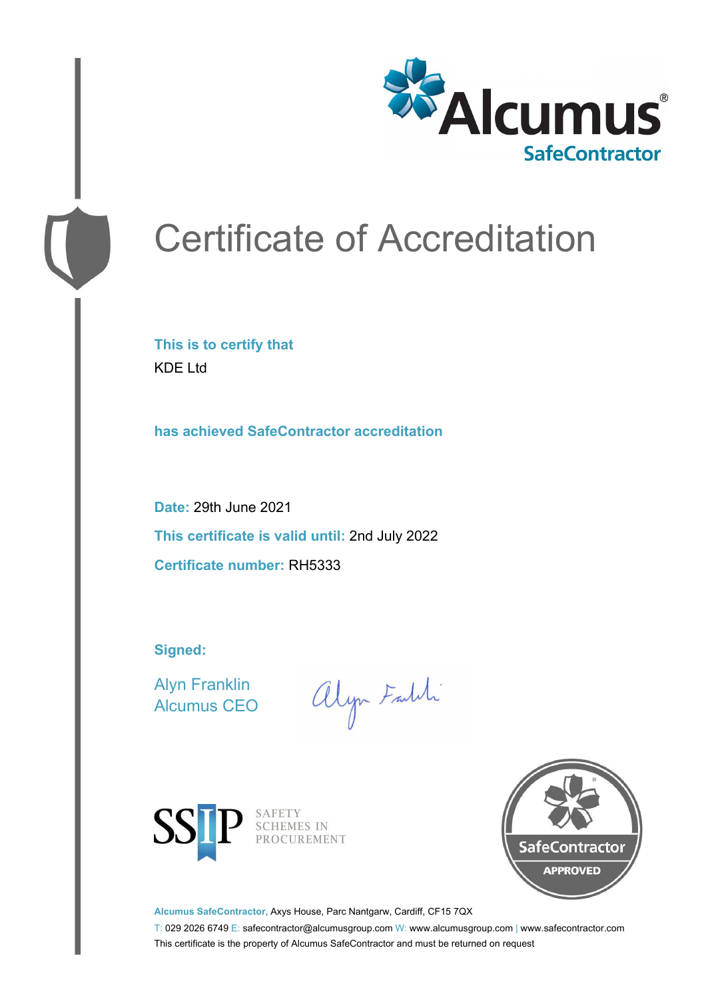

# Certificate of Accreditation

**This is to certify that** KDE Ltd

**has achieved SafeContractor accreditation**

**Date:** 29th June 2021 **This certificate is valid until:** 2nd July 2022 **Certificate number:** RH5333

**Signed:**

Alyn Franklin Alcumus CEO

alyn Faith



SAFETY SCHEMES IN PROCUREMENT



**Alcumus SafeContractor,** Axys House, Parc Nantgarw, Cardiff, CF15 7QX

T: 029 2026 6749 E: safecontractor@alcumusgroup.com W: www.alcumusgroup.com | www.safecontractor.com This certificate is the property of Alcumus SafeContractor and must be returned on request